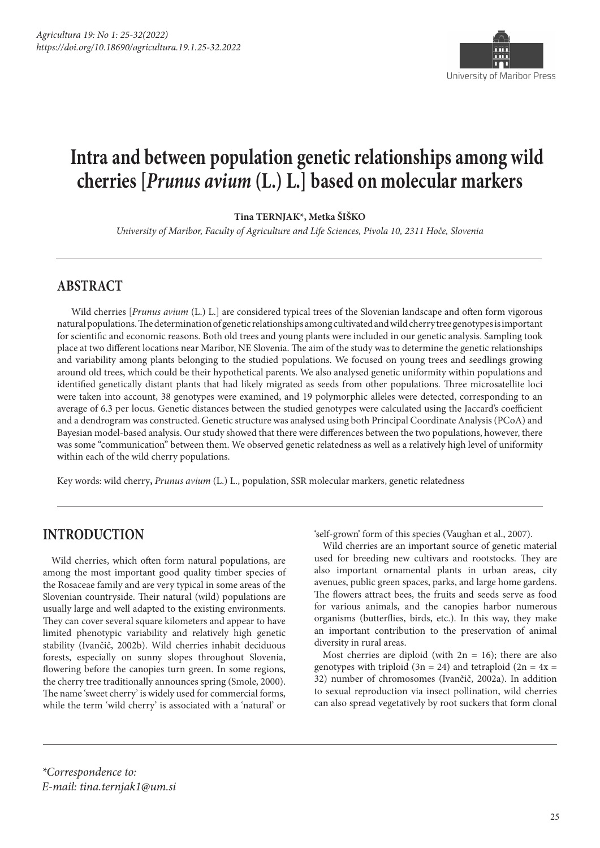

## **Intra and between population genetic relationships among wild cherries [***Prunus avium* **(L.) L.] based on molecular markers**

**Tina TERNJAK\*, Metka ŠIŠKO**

*University of Maribor, Faculty of Agriculture and Life Sciences, Pivola 10, 2311 Hoče, Slovenia*

#### **ABSTRACT**

Wild cherries [*Prunus avium* (L.) L.] are considered typical trees of the Slovenian landscape and often form vigorous natural populations. The determination of genetic relationships among cultivated and wild cherry tree genotypes is important for scientific and economic reasons. Both old trees and young plants were included in our genetic analysis. Sampling took place at two different locations near Maribor, NE Slovenia. The aim of the study was to determine the genetic relationships and variability among plants belonging to the studied populations. We focused on young trees and seedlings growing around old trees, which could be their hypothetical parents. We also analysed genetic uniformity within populations and identified genetically distant plants that had likely migrated as seeds from other populations. Three microsatellite loci were taken into account, 38 genotypes were examined, and 19 polymorphic alleles were detected, corresponding to an average of 6.3 per locus. Genetic distances between the studied genotypes were calculated using the Jaccard's coefficient and a dendrogram was constructed. Genetic structure was analysed using both Principal Coordinate Analysis (PCoA) and Bayesian model-based analysis. Our study showed that there were differences between the two populations, however, there was some "communication" between them. We observed genetic relatedness as well as a relatively high level of uniformity within each of the wild cherry populations.

Key words: wild cherry**,** *Prunus avium* (L.) L., population, SSR molecular markers, genetic relatedness

#### **INTRODUCTION**

Wild cherries, which often form natural populations, are among the most important good quality timber species of the Rosaceae family and are very typical in some areas of the Slovenian countryside. Their natural (wild) populations are usually large and well adapted to the existing environments. They can cover several square kilometers and appear to have limited phenotypic variability and relatively high genetic stability (Ivančič, 2002b). Wild cherries inhabit deciduous forests, especially on sunny slopes throughout Slovenia, flowering before the canopies turn green. In some regions, the cherry tree traditionally announces spring (Smole, 2000). The name 'sweet cherry' is widely used for commercial forms, while the term 'wild cherry' is associated with a 'natural' or

'self-grown' form of this species (Vaughan et al., 2007).

Wild cherries are an important source of genetic material used for breeding new cultivars and rootstocks. They are also important ornamental plants in urban areas, city avenues, public green spaces, parks, and large home gardens. The flowers attract bees, the fruits and seeds serve as food for various animals, and the canopies harbor numerous organisms (butterflies, birds, etc.). In this way, they make an important contribution to the preservation of animal diversity in rural areas.

Most cherries are diploid (with  $2n = 16$ ); there are also genotypes with triploid  $(3n = 24)$  and tetraploid  $(2n = 4x =$ 32) number of chromosomes (Ivančič, 2002a). In addition to sexual reproduction via insect pollination, wild cherries can also spread vegetatively by root suckers that form clonal

*\*Correspondence to: E-mail: tina.ternjak1@um.si*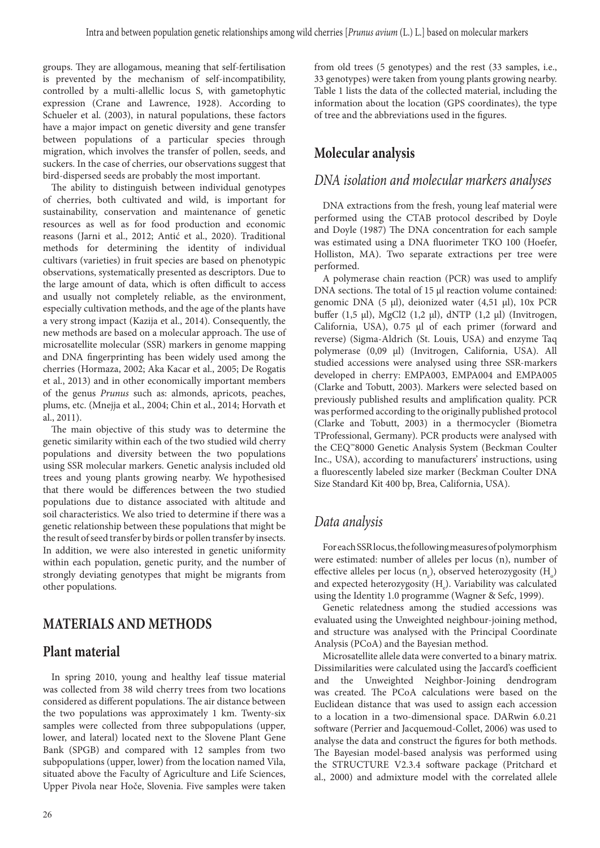groups. They are allogamous, meaning that self-fertilisation is prevented by the mechanism of self-incompatibility, controlled by a multi-allellic locus S, with gametophytic expression (Crane and Lawrence, 1928). According to Schueler et al. (2003), in natural populations, these factors have a major impact on genetic diversity and gene transfer between populations of a particular species through migration, which involves the transfer of pollen, seeds, and suckers. In the case of cherries, our observations suggest that bird-dispersed seeds are probably the most important.

The ability to distinguish between individual genotypes of cherries, both cultivated and wild, is important for sustainability, conservation and maintenance of genetic resources as well as for food production and economic reasons (Jarni et al., 2012; Antić et al., 2020). Traditional methods for determining the identity of individual cultivars (varieties) in fruit species are based on phenotypic observations, systematically presented as descriptors. Due to the large amount of data, which is often difficult to access and usually not completely reliable, as the environment, especially cultivation methods, and the age of the plants have a very strong impact (Kazija et al., 2014). Consequently, the new methods are based on a molecular approach. The use of microsatellite molecular (SSR) markers in genome mapping and DNA fingerprinting has been widely used among the cherries (Hormaza, 2002; Aka Kacar et al., 2005; De Rogatis et al., 2013) and in other economically important members of the genus *Prunus* such as: almonds, apricots, peaches, plums, etc. (Mnejja et al., 2004; Chin et al., 2014; Horvath et al., 2011).

The main objective of this study was to determine the genetic similarity within each of the two studied wild cherry populations and diversity between the two populations using SSR molecular markers. Genetic analysis included old trees and young plants growing nearby. We hypothesised that there would be differences between the two studied populations due to distance associated with altitude and soil characteristics. We also tried to determine if there was a genetic relationship between these populations that might be the result of seed transfer by birds or pollen transfer by insects. In addition, we were also interested in genetic uniformity within each population, genetic purity, and the number of strongly deviating genotypes that might be migrants from other populations.

#### **MATERIALS AND METHODS**

#### **Plant material**

In spring 2010, young and healthy leaf tissue material was collected from 38 wild cherry trees from two locations considered as different populations. The air distance between the two populations was approximately 1 km. Twenty-six samples were collected from three subpopulations (upper, lower, and lateral) located next to the Slovene Plant Gene Bank (SPGB) and compared with 12 samples from two subpopulations (upper, lower) from the location named Vila, situated above the Faculty of Agriculture and Life Sciences, Upper Pivola near Hoče, Slovenia. Five samples were taken

from old trees (5 genotypes) and the rest (33 samples, i.e., 33 genotypes) were taken from young plants growing nearby. Table 1 lists the data of the collected material, including the information about the location (GPS coordinates), the type of tree and the abbreviations used in the figures.

### **Molecular analysis**

#### *DNA isolation and molecular markers analyses*

DNA extractions from the fresh, young leaf material were performed using the CTAB protocol described by Doyle and Doyle (1987) The DNA concentration for each sample was estimated using a DNA fluorimeter TKO 100 (Hoefer, Holliston, MA). Two separate extractions per tree were performed.

A polymerase chain reaction (PCR) was used to amplify DNA sections. The total of 15  $\mu$ l reaction volume contained: genomic DNA (5 µl), deionized water (4,51 µl), 10x PCR buffer (1,5 µl), MgCl2 (1,2 µl), dNTP (1,2 µl) (Invitrogen, California, USA), 0.75 µl of each primer (forward and reverse) (Sigma-Aldrich (St. Louis, USA) and enzyme Taq polymerase (0,09 µl) (Invitrogen, California, USA). All studied accessions were analysed using three SSR-markers developed in cherry: EMPA003, EMPA004 and EMPA005 (Clarke and Tobutt, 2003). Markers were selected based on previously published results and amplification quality. PCR was performed according to the originally published protocol (Clarke and Tobutt, 2003) in a thermocycler (Biometra TProfessional, Germany). PCR products were analysed with the CEQ™8000 Genetic Analysis System (Beckman Coulter Inc., USA), according to manufacturers' instructions, using a fluorescently labeled size marker (Beckman Coulter DNA Size Standard Kit 400 bp, Brea, California, USA).

### *Data analysis*

For each SSR locus, the following measures of polymorphism were estimated: number of alleles per locus (n), number of effective alleles per locus  $(n_e)$ , observed heterozygosity  $(H_o)$ and expected heterozygosity  $(H_e)$ . Variability was calculated using the Identity 1.0 programme (Wagner & Sefc, 1999).

Genetic relatedness among the studied accessions was evaluated using the Unweighted neighbour-joining method, and structure was analysed with the Principal Coordinate Analysis (PCoA) and the Bayesian method.

Microsatellite allele data were converted to a binary matrix. Dissimilarities were calculated using the Jaccard's coefficient and the Unweighted Neighbor-Joining dendrogram was created. The PCoA calculations were based on the Euclidean distance that was used to assign each accession to a location in a two-dimensional space. DARwin 6.0.21 software (Perrier and Jacquemoud-Collet, 2006) was used to analyse the data and construct the figures for both methods. The Bayesian model-based analysis was performed using the STRUCTURE V2.3.4 software package (Pritchard et al., 2000) and admixture model with the correlated allele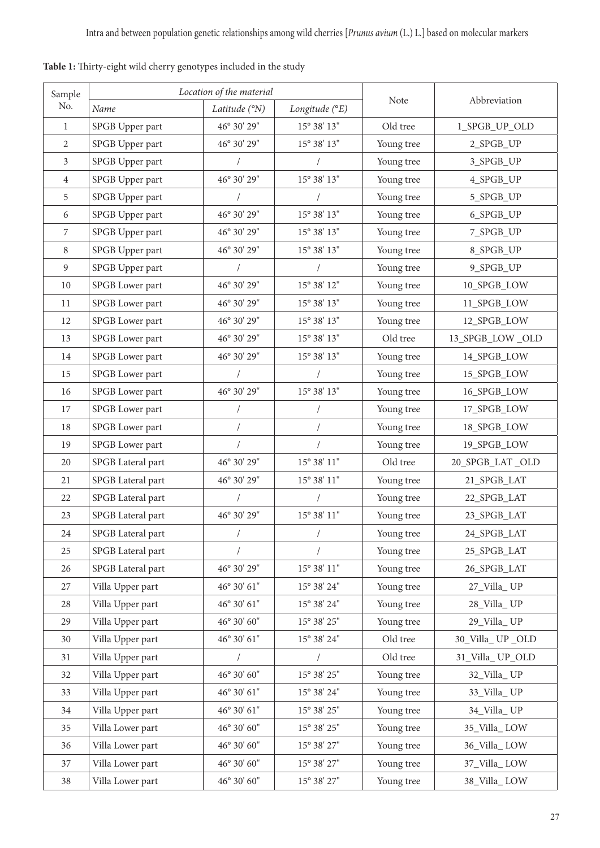| Sample           |                   | Location of the material                               |                               |            |                 |  |  |  |  |  |  |  |
|------------------|-------------------|--------------------------------------------------------|-------------------------------|------------|-----------------|--|--|--|--|--|--|--|
| $\rm No.$        | Name              | Latitude (°N)                                          | Longitude (°E)                | Note       | Abbreviation    |  |  |  |  |  |  |  |
| $\mathbf{1}$     | SPGB Upper part   | 46° 30' 29"                                            | $15^{\sf o}$ 38' $13"$        | Old tree   | 1_SPGB_UP_OLD   |  |  |  |  |  |  |  |
| $\mathbf{2}$     | SPGB Upper part   | 46° 30' 29"                                            | $15^{\rm o}$ 38' $13^{\rm o}$ | Young tree | 2_SPGB_UP       |  |  |  |  |  |  |  |
| $\mathfrak{Z}$   | SPGB Upper part   | $\prime$                                               |                               | Young tree | 3_SPGB_UP       |  |  |  |  |  |  |  |
| $\overline{4}$   | SPGB Upper part   | 46° 30' 29"                                            | $15^{\circ}$ 38' $13"$        | Young tree | 4_SPGB_UP       |  |  |  |  |  |  |  |
| 5                | SPGB Upper part   |                                                        |                               | Young tree | 5_SPGB_UP       |  |  |  |  |  |  |  |
| 6                | SPGB Upper part   | 46° 30' 29"                                            | $15^{\rm o}$ 38' $13^{\rm o}$ | Young tree | 6_SPGB_UP       |  |  |  |  |  |  |  |
| $\boldsymbol{7}$ | SPGB Upper part   | 46° 30' 29"                                            | $15^{\circ}$ 38' $13"$        | Young tree | 7_SPGB_UP       |  |  |  |  |  |  |  |
| $\, 8$           | SPGB Upper part   | 46° 30' 29"                                            | 15° 38' 13"                   | Young tree | 8_SPGB_UP       |  |  |  |  |  |  |  |
| $\overline{9}$   | SPGB Upper part   |                                                        |                               | Young tree | 9_SPGB_UP       |  |  |  |  |  |  |  |
| $10\,$           | SPGB Lower part   | $46^{\rm o}$ $30^{\rm \prime}$ $29^{\rm \prime\prime}$ | $15^{\rm o}$ 38' $12^{\rm o}$ | Young tree | 10_SPGB_LOW     |  |  |  |  |  |  |  |
| 11               | SPGB Lower part   | 46° 30' 29"                                            | 15° 38' 13"                   | Young tree | 11_SPGB_LOW     |  |  |  |  |  |  |  |
| 12               | SPGB Lower part   | 46° 30' 29"                                            | $15^{\rm o}$ 38' $13^{\rm o}$ | Young tree | 12_SPGB_LOW     |  |  |  |  |  |  |  |
| 13               | SPGB Lower part   | 46° 30' 29"                                            | $15^{\rm o}$ 38' $13^{\rm o}$ | Old tree   | 13_SPGB_LOW_OLD |  |  |  |  |  |  |  |
| $14\,$           | SPGB Lower part   | 46° 30' 29"                                            | $15^{\circ}$ 38' $13^{\circ}$ | Young tree | 14_SPGB_LOW     |  |  |  |  |  |  |  |
| 15               | SPGB Lower part   | $\sqrt{2}$                                             |                               | Young tree | 15_SPGB_LOW     |  |  |  |  |  |  |  |
| 16               | SPGB Lower part   | 46° 30' 29"                                            | $15^{\rm o}$ 38' $13^{\rm o}$ | Young tree | 16_SPGB_LOW     |  |  |  |  |  |  |  |
| $17\,$           | SPGB Lower part   | $\sqrt{\phantom{a}}$                                   |                               | Young tree | 17_SPGB_LOW     |  |  |  |  |  |  |  |
| $18\,$           | SPGB Lower part   | $\sqrt{\phantom{a}}$                                   | $\sqrt{\phantom{a}}$          | Young tree | 18_SPGB_LOW     |  |  |  |  |  |  |  |
| 19               | SPGB Lower part   |                                                        |                               | Young tree | 19_SPGB_LOW     |  |  |  |  |  |  |  |
| $20\,$           | SPGB Lateral part | 46° 30' 29"                                            | $15^{\rm o}$ 38' $11^{\rm o}$ | Old tree   | 20_SPGB_LAT_OLD |  |  |  |  |  |  |  |
| 21               | SPGB Lateral part | 46° 30' 29"                                            | $15^{\rm o}$ 38' $11^{\rm o}$ | Young tree | 21_SPGB_LAT     |  |  |  |  |  |  |  |
| 22               | SPGB Lateral part |                                                        |                               | Young tree | 22_SPGB_LAT     |  |  |  |  |  |  |  |
| 23               | SPGB Lateral part | 46° 30' 29"                                            | $15^{\rm o}$ 38' $11"$        | Young tree | 23_SPGB_LAT     |  |  |  |  |  |  |  |
| 24               | SPGB Lateral part |                                                        |                               | Young tree | 24_SPGB_LAT     |  |  |  |  |  |  |  |
| 25               | SPGB Lateral part |                                                        |                               | Young tree | 25_SPGB_LAT     |  |  |  |  |  |  |  |
| $26\,$           | SPGB Lateral part | 46° 30' 29"                                            | $15^{\rm o}$ 38' $11"$        | Young tree | 26_SPGB_LAT     |  |  |  |  |  |  |  |
| 27               | Villa Upper part  | $46^{\circ}$ $30^{\prime}$ $61^{\prime\prime}$         | $15^{\rm o}$ 38' 24"          | Young tree | 27_Villa_UP     |  |  |  |  |  |  |  |
| 28               | Villa Upper part  | $46^{\rm o}$ $30^{\prime}$ $61^{\prime\prime}$         | $15^{\rm o}$ 38' 24"          | Young tree | 28_Villa_UP     |  |  |  |  |  |  |  |
| 29               | Villa Upper part  | $46^{\circ}$ $30^{\prime}$ $60^{\prime\prime}$         | 15° 38' 25"                   | Young tree | 29_Villa_UP     |  |  |  |  |  |  |  |
| 30               | Villa Upper part  | 46° 30′ 61"                                            | $15^{\rm o}$ 38' 24"          | Old tree   | 30_Villa_UP_OLD |  |  |  |  |  |  |  |
| 31               | Villa Upper part  | $\sqrt{2}$                                             |                               | Old tree   | 31_Villa_UP_OLD |  |  |  |  |  |  |  |
| 32               | Villa Upper part  | $46^{\circ}$ $30^{\prime}$ $60^{\prime\prime}$         | $15^{\rm o}$ 38' $25^{\rm o}$ | Young tree | 32_Villa_UP     |  |  |  |  |  |  |  |
| 33               | Villa Upper part  | $46^{\circ}$ $30^{\prime}$ $61^{\prime\prime}$         | 15° 38' 24"                   | Young tree | 33_Villa_UP     |  |  |  |  |  |  |  |
| 34               | Villa Upper part  | 46° 30' 61"                                            | 15° 38' 25"                   | Young tree | 34_Villa_UP     |  |  |  |  |  |  |  |
| 35               | Villa Lower part  | 46° 30' 60"                                            | 15° 38' 25"                   | Young tree | 35_Villa_LOW    |  |  |  |  |  |  |  |
| 36               | Villa Lower part  | 46° 30' 60"                                            | 15° 38' 27"                   | Young tree | 36_Villa_LOW    |  |  |  |  |  |  |  |
| 37               | Villa Lower part  | 46° 30' 60"                                            | 15° 38' 27"                   | Young tree | 37_Villa_LOW    |  |  |  |  |  |  |  |
| $38\,$           | Villa Lower part  | 46° 30' 60"                                            | $15^{\rm o}$ 38' 27"          | Young tree | 38_Villa_LOW    |  |  |  |  |  |  |  |

**Table 1:** Thirty-eight wild cherry genotypes included in the study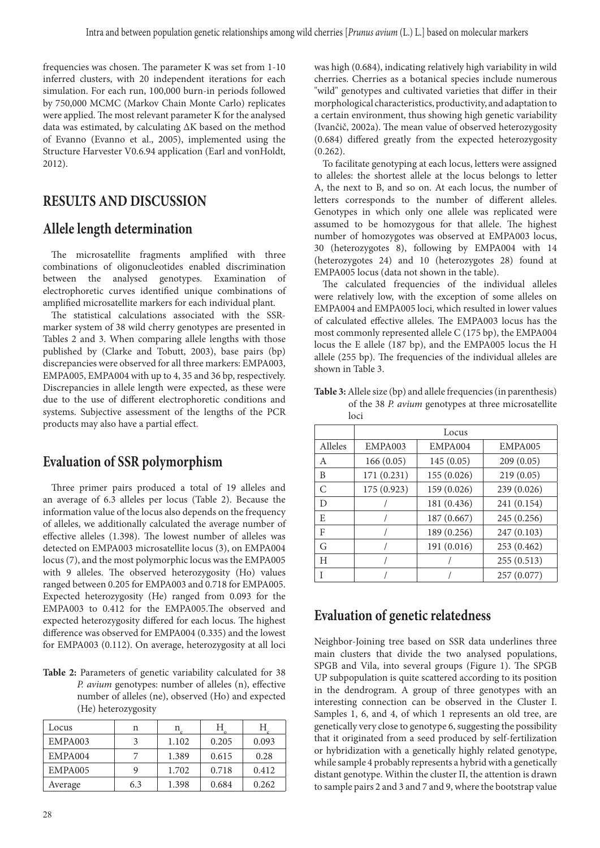frequencies was chosen. The parameter K was set from 1-10 inferred clusters, with 20 independent iterations for each simulation. For each run, 100,000 burn-in periods followed by 750,000 MCMC (Markov Chain Monte Carlo) replicates were applied. The most relevant parameter K for the analysed data was estimated, by calculating ΔK based on the method of Evanno (Evanno et al., 2005), implemented using the Structure Harvester V0.6.94 application (Earl and vonHoldt, 2012).

#### **RESULTS AND DISCUSSION**

#### **Allele length determination**

The microsatellite fragments amplified with three combinations of oligonucleotides enabled discrimination between the analysed genotypes. Examination of electrophoretic curves identified unique combinations of amplified microsatellite markers for each individual plant.

The statistical calculations associated with the SSRmarker system of 38 wild cherry genotypes are presented in Tables 2 and 3. When comparing allele lengths with those published by (Clarke and Tobutt, 2003), base pairs (bp) discrepancies were observed for all three markers: EMPA003, EMPA005, EMPA004 with up to 4, 35 and 36 bp, respectively. Discrepancies in allele length were expected, as these were due to the use of different electrophoretic conditions and systems. Subjective assessment of the lengths of the PCR products may also have a partial effect.

#### **Evaluation of SSR polymorphism**

Three primer pairs produced a total of 19 alleles and an average of 6.3 alleles per locus (Table 2). Because the information value of the locus also depends on the frequency of alleles, we additionally calculated the average number of effective alleles (1.398). The lowest number of alleles was detected on EMPA003 microsatellite locus (3), on EMPA004 locus (7), and the most polymorphic locus was the EMPA005 with 9 alleles. The observed heterozygosity (Ho) values ranged between 0.205 for EMPA003 and 0.718 for EMPA005. Expected heterozygosity (He) ranged from 0.093 for the EMPA003 to 0.412 for the EMPA005.The observed and expected heterozygosity differed for each locus. The highest difference was observed for EMPA004 (0.335) and the lowest for EMPA003 (0.112). On average, heterozygosity at all loci

**Table 2:** Parameters of genetic variability calculated for 38 *P. avium* genotypes: number of alleles (n), effective number of alleles (ne), observed (Ho) and expected (He) heterozygosity

| Locus   | n   | n     | H     | Н     |
|---------|-----|-------|-------|-------|
| EMPA003 | 3   | 1.102 | 0.205 | 0.093 |
| EMPA004 |     | 1.389 | 0.615 | 0.28  |
| EMPA005 | q   | 1.702 | 0.718 | 0.412 |
| Average | 6.3 | 1.398 | 0.684 | 0.262 |

was high (0.684), indicating relatively high variability in wild cherries. Cherries as a botanical species include numerous "wild" genotypes and cultivated varieties that differ in their morphological characteristics, productivity, and adaptation to a certain environment, thus showing high genetic variability (Ivančič, 2002a). The mean value of observed heterozygosity (0.684) differed greatly from the expected heterozygosity  $(0.262)$ .

To facilitate genotyping at each locus, letters were assigned to alleles: the shortest allele at the locus belongs to letter A, the next to B, and so on. At each locus, the number of letters corresponds to the number of different alleles. Genotypes in which only one allele was replicated were assumed to be homozygous for that allele. The highest number of homozygotes was observed at EMPA003 locus, 30 (heterozygotes 8), following by EMPA004 with 14 (heterozygotes 24) and 10 (heterozygotes 28) found at EMPA005 locus (data not shown in the table).

The calculated frequencies of the individual alleles were relatively low, with the exception of some alleles on EMPA004 and EMPA005 loci, which resulted in lower values of calculated effective alleles. The EMPA003 locus has the most commonly represented allele C (175 bp), the EMPA004 locus the E allele (187 bp), and the EMPA005 locus the H allele (255 bp). The frequencies of the individual alleles are shown in Table 3.

**Table 3:** Allele size (bp) and allele frequencies (in parenthesis) of the 38 *P. avium* genotypes at three microsatellite loci

|         | Locus       |             |             |  |  |  |  |  |  |  |  |  |  |
|---------|-------------|-------------|-------------|--|--|--|--|--|--|--|--|--|--|
| Alleles | EMPA003     | EMPA004     | EMPA005     |  |  |  |  |  |  |  |  |  |  |
| A       | 166(0.05)   | 145(0.05)   | 209(0.05)   |  |  |  |  |  |  |  |  |  |  |
| B       | 171 (0.231) | 155 (0.026) | 219(0.05)   |  |  |  |  |  |  |  |  |  |  |
| C       | 175 (0.923) | 159 (0.026) | 239 (0.026) |  |  |  |  |  |  |  |  |  |  |
| D       |             | 181 (0.436) | 241 (0.154) |  |  |  |  |  |  |  |  |  |  |
| E       |             | 187 (0.667) | 245 (0.256) |  |  |  |  |  |  |  |  |  |  |
| F       |             | 189 (0.256) | 247 (0.103) |  |  |  |  |  |  |  |  |  |  |
| G       |             | 191 (0.016) | 253 (0.462) |  |  |  |  |  |  |  |  |  |  |
| H       |             |             | 255(0.513)  |  |  |  |  |  |  |  |  |  |  |
| T       |             |             | 257 (0.077) |  |  |  |  |  |  |  |  |  |  |

#### **Evaluation of genetic relatedness**

Neighbor-Joining tree based on SSR data underlines three main clusters that divide the two analysed populations, SPGB and Vila, into several groups (Figure 1). The SPGB UP subpopulation is quite scattered according to its position in the dendrogram. A group of three genotypes with an interesting connection can be observed in the Cluster I. Samples 1, 6, and 4, of which 1 represents an old tree, are genetically very close to genotype 6, suggesting the possibility that it originated from a seed produced by self-fertilization or hybridization with a genetically highly related genotype, while sample 4 probably represents a hybrid with a genetically distant genotype. Within the cluster II, the attention is drawn to sample pairs 2 and 3 and 7 and 9, where the bootstrap value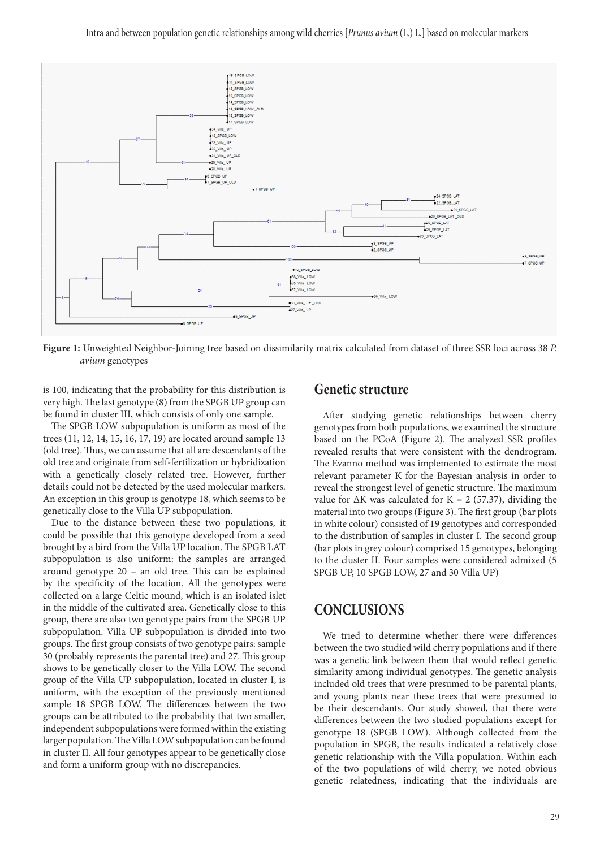

**Figure 1:** Unweighted Neighbor-Joining tree based on dissimilarity matrix calculated from dataset of three SSR loci across 38 *P. avium* genotypes

is 100, indicating that the probability for this distribution is very high. The last genotype (8) from the SPGB UP group can be found in cluster III, which consists of only one sample.

The SPGB LOW subpopulation is uniform as most of the trees (11, 12, 14, 15, 16, 17, 19) are located around sample 13 (old tree). Thus, we can assume that all are descendants of the old tree and originate from self-fertilization or hybridization with a genetically closely related tree. However, further details could not be detected by the used molecular markers. An exception in this group is genotype 18, which seems to be genetically close to the Villa UP subpopulation.

Due to the distance between these two populations, it could be possible that this genotype developed from a seed brought by a bird from the Villa UP location. The SPGB LAT subpopulation is also uniform: the samples are arranged around genotype 20 – an old tree. This can be explained by the specificity of the location. All the genotypes were collected on a large Celtic mound, which is an isolated islet in the middle of the cultivated area. Genetically close to this group, there are also two genotype pairs from the SPGB UP subpopulation. Villa UP subpopulation is divided into two groups. The first group consists of two genotype pairs: sample 30 (probably represents the parental tree) and 27. This group shows to be genetically closer to the Villa LOW. The second group of the Villa UP subpopulation, located in cluster I, is uniform, with the exception of the previously mentioned sample 18 SPGB LOW. The differences between the two groups can be attributed to the probability that two smaller, independent subpopulations were formed within the existing larger population. The Villa LOW subpopulation can be found in cluster II. All four genotypes appear to be genetically close and form a uniform group with no discrepancies.

#### **Genetic structure**

After studying genetic relationships between cherry genotypes from both populations, we examined the structure based on the PCoA (Figure 2). The analyzed SSR profiles revealed results that were consistent with the dendrogram. The Evanno method was implemented to estimate the most relevant parameter K for the Bayesian analysis in order to reveal the strongest level of genetic structure. The maximum value for  $\Delta K$  was calculated for K = 2 (57.37), dividing the material into two groups (Figure 3). The first group (bar plots in white colour) consisted of 19 genotypes and corresponded to the distribution of samples in cluster I. The second group (bar plots in grey colour) comprised 15 genotypes, belonging to the cluster II. Four samples were considered admixed (5 SPGB UP, 10 SPGB LOW, 27 and 30 Villa UP)

#### **CONCLUSIONS**

We tried to determine whether there were differences between the two studied wild cherry populations and if there was a genetic link between them that would reflect genetic similarity among individual genotypes. The genetic analysis included old trees that were presumed to be parental plants, and young plants near these trees that were presumed to be their descendants. Our study showed, that there were differences between the two studied populations except for genotype 18 (SPGB LOW). Although collected from the population in SPGB, the results indicated a relatively close genetic relationship with the Villa population. Within each of the two populations of wild cherry, we noted obvious genetic relatedness, indicating that the individuals are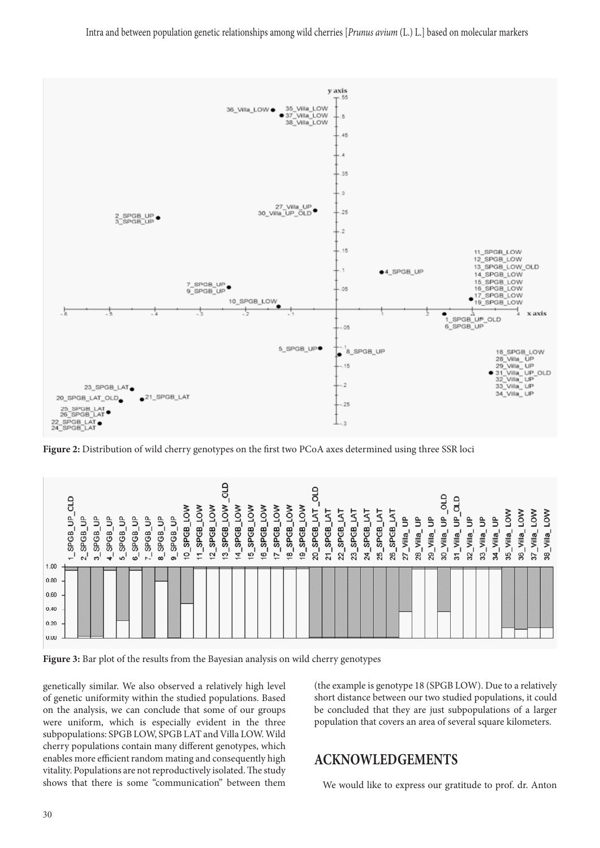Intra and between population genetic relationships among wild cherries [*Prunus avium* (L.) L.] based on molecular markers



**Figure 2:** Distribution of wild cherry genotypes on the first two PCoA axes determined using three SSR loci

|      | ಕ<br>₿<br><b>SPGB</b><br>$\tau$ | SPGB<br>$\sim$ | SPGB<br>ຕ່ | <b>SPGB</b><br>$\mathbf{t}$ | SPGB<br>ທ່ | <b>SPGB</b><br>ഗ' | SPGB<br>∼' | ₿<br>SPGB<br>$\infty$ | ₿<br>SPGB<br>$\infty$ | 9<br>SPGB<br>င္ | ≳<br>Q<br>SPGB<br>Ξ | ≳<br>Q<br>SPGB<br>5 | 2<br>٩<br>SP <sub>GB</sub><br>င္း | SPGB<br>4 | SPGB<br>$\frac{1}{2}$ | Q<br>SPGB<br>'€ | $\overline{\mathsf{C}}$<br>SPGB<br>17 | ⋜<br>q<br>SPGB<br>$\frac{8}{1}$ | ℥<br>SPGB<br>စ္ | 늏<br>SPGB<br>$\overline{5}$ | ۳<br>SPGB<br>21 | ⊢<br>SPGB<br>ଅ | SPGB<br>జ | SPGB<br>Z | SPGB<br>ಙ | SPGB<br>26 | ⋾<br>Villa <sub>.</sub><br>27 | Villa<br>28 | Villa<br>౭ | ō<br>Villa<br>႙ | ۵<br>ಠ<br>Villa<br>$\overline{5}$ | Villa<br>೫ | ⋾<br>Villa<br>జ | €<br>Villa<br>प्त | న్ౖ<br>Villa <sub>.</sub><br>35 | $\frac{8}{2}$<br>Villa<br>36 | $\circ$<br>Villa<br>$\mathbb{Z}$ | NO <sub>T</sub><br>Villa<br>38 |
|------|---------------------------------|----------------|------------|-----------------------------|------------|-------------------|------------|-----------------------|-----------------------|-----------------|---------------------|---------------------|-----------------------------------|-----------|-----------------------|-----------------|---------------------------------------|---------------------------------|-----------------|-----------------------------|-----------------|----------------|-----------|-----------|-----------|------------|-------------------------------|-------------|------------|-----------------|-----------------------------------|------------|-----------------|-------------------|---------------------------------|------------------------------|----------------------------------|--------------------------------|
| 1.00 |                                 |                |            |                             |            |                   |            |                       |                       |                 |                     |                     |                                   |           |                       |                 |                                       |                                 |                 |                             |                 |                |           |           |           |            |                               |             |            |                 |                                   |            |                 |                   |                                 |                              |                                  |                                |
| 0.80 |                                 |                |            |                             |            |                   |            |                       |                       |                 |                     |                     |                                   |           |                       |                 |                                       |                                 |                 |                             |                 |                |           |           |           |            |                               |             |            |                 |                                   |            |                 |                   |                                 |                              |                                  |                                |
| 0.60 |                                 |                |            |                             |            |                   |            |                       |                       |                 |                     |                     |                                   |           |                       |                 |                                       |                                 |                 |                             |                 |                |           |           |           |            |                               |             |            |                 |                                   |            |                 |                   |                                 |                              |                                  |                                |
| 0.40 |                                 |                |            |                             |            |                   |            |                       |                       |                 |                     |                     |                                   |           |                       |                 |                                       |                                 |                 |                             |                 |                |           |           |           |            |                               |             |            |                 |                                   |            |                 |                   |                                 |                              |                                  |                                |
| 0.20 |                                 |                |            |                             |            |                   |            |                       |                       |                 |                     |                     |                                   |           |                       |                 |                                       |                                 |                 |                             |                 |                |           |           |           |            |                               |             |            |                 |                                   |            |                 |                   |                                 |                              |                                  |                                |
| 0.00 |                                 |                |            |                             |            |                   |            |                       |                       |                 |                     |                     |                                   |           |                       |                 |                                       |                                 |                 |                             |                 |                |           |           |           |            |                               |             |            |                 |                                   |            |                 |                   |                                 |                              |                                  |                                |



genetically similar. We also observed a relatively high level of genetic uniformity within the studied populations. Based on the analysis, we can conclude that some of our groups were uniform, which is especially evident in the three subpopulations: SPGB LOW, SPGB LAT and Villa LOW. Wild cherry populations contain many different genotypes, which enables more efficient random mating and consequently high vitality. Populations are not reproductively isolated. The study shows that there is some "communication" between them (the example is genotype 18 (SPGB LOW). Due to a relatively short distance between our two studied populations, it could be concluded that they are just subpopulations of a larger population that covers an area of several square kilometers.

#### **ACKNOWLEDGEMENTS**

We would like to express our gratitude to prof. dr. Anton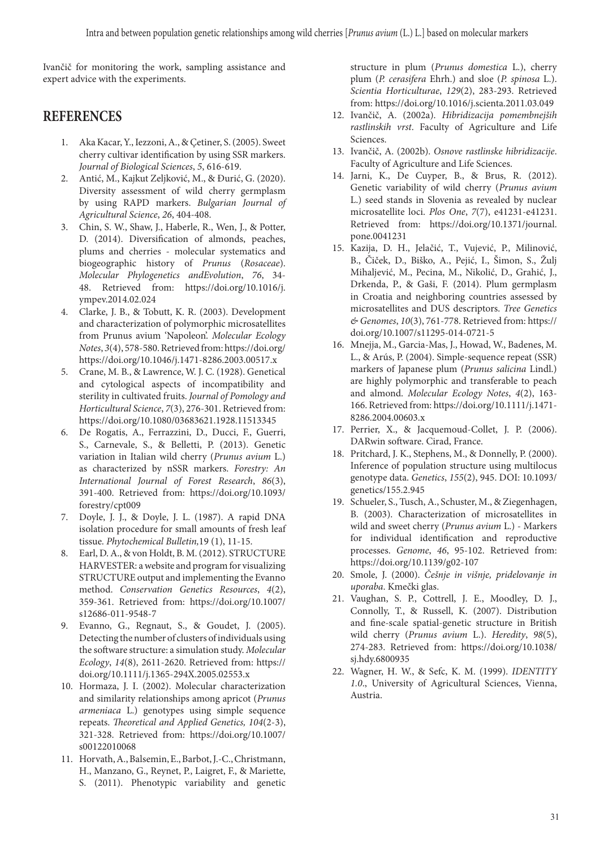Ivančič for monitoring the work, sampling assistance and expert advice with the experiments.

#### **REFERENCES**

- 1. Aka Kacar, Y., Iezzoni, A., & Çetiner, S. (2005). Sweet cherry cultivar identification by using SSR markers. *Journal of Biological Sciences*, *5*, 616-619.
- 2. Antić, M., Kajkut Zeljković, M., & Đurić, G. (2020). Diversity assessment of wild cherry germplasm by using RAPD markers. *Bulgarian Journal of Agricultural Science*, *26*, 404-408.
- 3. Chin, S. W., Shaw, J., Haberle, R., Wen, J., & Potter, D. (2014). Diversification of almonds, peaches, plums and cherries - molecular systematics and biogeographic history of *Prunus* (*Rosaceae*). *Molecular Phylogenetics andEvolution*, *76*, 34- 48. Retrieved from: https://doi.org/10.1016/j. ympev.2014.02.024
- 4. Clarke, J. B., & Tobutt, K. R. (2003). Development and characterization of polymorphic microsatellites from Prunus avium 'Napoleon'. *Molecular Ecology Notes*, *3*(4), 578-580. Retrieved from: https://doi.org/ https://doi.org/10.1046/j.1471-8286.2003.00517.x
- 5. Crane, M. B., & Lawrence, W. J. C. (1928). Genetical and cytological aspects of incompatibility and sterility in cultivated fruits. *Journal of Pomology and Horticultural Science*, *7*(3), 276-301. Retrieved from: https://doi.org/10.1080/03683621.1928.11513345
- 6. De Rogatis, A., Ferrazzini, D., Ducci, F., Guerri, S., Carnevale, S., & Belletti, P. (2013). Genetic variation in Italian wild cherry (*Prunus avium* L.) as characterized by nSSR markers. *Forestry: An International Journal of Forest Research*, *86*(3), 391-400. Retrieved from: https://doi.org/10.1093/ forestry/cpt009
- 7. Doyle, J. J., & Doyle, J. L. (1987). A rapid DNA isolation procedure for small amounts of fresh leaf tissue. *Phytochemical Bulletin,*19 (1), 11-15.
- 8. Earl, D. A., & von Holdt, B. M. (2012). STRUCTURE HARVESTER: a website and program for visualizing STRUCTURE output and implementing the Evanno method. *Conservation Genetics Resources*, *4*(2), 359-361. Retrieved from: https://doi.org/10.1007/ s12686-011-9548-7
- 9. Evanno, G., Regnaut, S., & Goudet, J. (2005). Detecting the number of clusters of individuals using the software structure: a simulation study. *Molecular Ecology*, *14*(8), 2611-2620. Retrieved from: https:// doi.org/10.1111/j.1365-294X.2005.02553.x
- 10. Hormaza, J. I. (2002). Molecular characterization and similarity relationships among apricot (*Prunus armeniaca* L.) genotypes using simple sequence repeats. *Theoretical and Applied Genetics, 104*(2-3), 321-328. Retrieved from: https://doi.org/10.1007/ s00122010068
- 11. Horvath, A., Balsemin, E., Barbot, J.-C., Christmann, H., Manzano, G., Reynet, P., Laigret, F., & Mariette, S. (2011). Phenotypic variability and genetic

structure in plum (*Prunus domestica* L.), cherry plum (*P. cerasifera* Ehrh.) and sloe (*P. spinosa* L.). *Scientia Horticulturae*, *129*(2), 283-293. Retrieved from: https://doi.org/10.1016/j.scienta.2011.03.049

- 12. Ivančič, A. (2002a). *Hibridizacija pomembnejših rastlinskih vrst*. Faculty of Agriculture and Life Sciences.
- 13. Ivančič, A. (2002b). *Osnove rastlinske hibridizacije*. Faculty of Agriculture and Life Sciences.
- 14. Jarni, K., De Cuyper, B., & Brus, R. (2012). Genetic variability of wild cherry (*Prunus avium* L.) seed stands in Slovenia as revealed by nuclear microsatellite loci. *Plos One*, *7*(7), e41231-e41231. Retrieved from: https://doi.org/10.1371/journal. pone.0041231
- 15. Kazija, D. H., Jelačić, T., Vujević, P., Milinović, B., Čiček, D., Biško, A., Pejić, I., Šimon, S., Žulj Mihaljević, M., Pecina, M., Nikolić, D., Grahić, J., Drkenda, P., & Gaši, F. (2014). Plum germplasm in Croatia and neighboring countries assessed by microsatellites and DUS descriptors. *Tree Genetics & Genomes*, *10*(3), 761-778. Retrieved from: https:// doi.org/10.1007/s11295-014-0721-5
- 16. Mnejja, M., Garcia-Mas, J., Howad, W., Badenes, M. L., & Arús, P. (2004). Simple-sequence repeat (SSR) markers of Japanese plum (*Prunus salicina* Lindl.) are highly polymorphic and transferable to peach and almond. *Molecular Ecology Notes*, *4*(2), 163- 166. Retrieved from: https://doi.org/10.1111/j.1471- 8286.2004.00603.x
- 17. Perrier, X., & Jacquemoud-Collet, J. P. (2006). DARwin software. Cirad, France.
- 18. Pritchard, J. K., Stephens, M., & Donnelly, P. (2000). Inference of population structure using multilocus genotype data. *Genetics*, *155*(2), 945. DOI: 10.1093/ genetics/155.2.945
- 19. Schueler, S., Tusch, A., Schuster, M., & Ziegenhagen, B. (2003). Characterization of microsatellites in wild and sweet cherry (*Prunus avium* L.) - Markers for individual identification and reproductive processes. *Genome*, *46*, 95-102. Retrieved from: https://doi.org/10.1139/g02-107
- 20. Smole, J. (2000). *Češnje in višnje, pridelovanje in uporaba*. Kmečki glas.
- 21. Vaughan, S. P., Cottrell, J. E., Moodley, D. J., Connolly, T., & Russell, K. (2007). Distribution and fine-scale spatial-genetic structure in British wild cherry (*Prunus avium* L.). *Heredity*, *98*(5), 274-283. Retrieved from: https://doi.org/10.1038/ sj.hdy.6800935
- 22. Wagner, H. W., & Sefc, K. M. (1999). *IDENTITY 1.0*., University of Agricultural Sciences, Vienna, Austria.